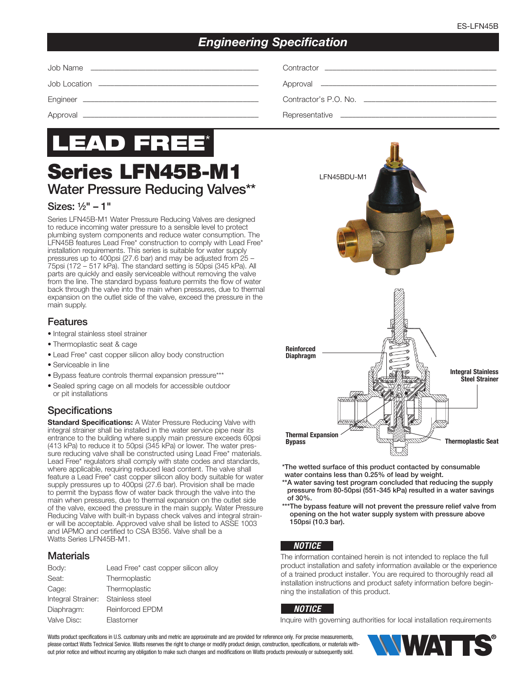# *Engineering Specification*

Job Location ––––––––––––––––––––––––––––––––––––––––– Approval –––––––––––––––––––––––––––––––––––––––––––––



# Series LFN45B-M1 Water Pressure Reducing Valves\*\*

### Sizes:  $\frac{1}{9}$ " – 1"

Series LFN45B-M1 Water Pressure Reducing Valves are designed to reduce incoming water pressure to a sensible level to protect plumbing system components and reduce water consumption. The LFN45B features Lead Free\* construction to comply with Lead Free\* installation requirements. This series is suitable for water supply pressures up to 400psi (27.6 bar) and may be adjusted from 25 – 75psi (172 – 517 kPa). The standard setting is 50psi (345 kPa). All parts are quickly and easily serviceable without removing the valve from the line. The standard bypass feature permits the flow of water back through the valve into the main when pressures, due to thermal expansion on the outlet side of the valve, exceed the pressure in the main supply.

### Features

- Integral stainless steel strainer
- Thermoplastic seat & cage
- Lead Free\* cast copper silicon alloy body construction
- Serviceable in line
- Bypass feature controls thermal expansion pressure\*\*\*
- Sealed spring cage on all models for accessible outdoor or pit installations

# **Specifications**

**Standard Specifications:** A Water Pressure Reducing Valve with integral strainer shall be installed in the water service pipe near its entrance to the building where supply main pressure exceeds 60psi (413 kPa) to reduce it to 50psi (345 kPa) or lower. The water pressure reducing valve shall be constructed using Lead Free\* materials. Lead Free\* regulators shall comply with state codes and standards, where applicable, requiring reduced lead content. The valve shall feature a Lead Free\* cast copper silicon alloy body suitable for water supply pressures up to 400psi (27.6 bar). Provision shall be made to permit the bypass flow of water back through the valve into the main when pressures, due to thermal expansion on the outlet side of the valve, exceed the pressure in the main supply. Water Pressure Reducing Valve with built-in bypass check valves and integral strainer will be acceptable. Approved valve shall be listed to ASSE 1003 and IAPMO and certified to CSA B356. Valve shall be a Watts Series LFN45B-M1.

### **Materials**

| Body:                              | Lead Free* cast copper silicon alloy |
|------------------------------------|--------------------------------------|
| Seat:                              | Thermoplastic                        |
| Cage:                              | Thermoplastic                        |
| Integral Strainer: Stainless steel |                                      |
| Diaphragm:                         | Reinforced EPDM                      |
| Valve Disc:                        | Elastomer                            |



Engineer ––––––––––––––––––––––––––––––––––––––––––––– Contractor's P.O. No. ––––––––––––––––––––––––––––––––––

Approval ––––––––––––––––––––––––––––––––––––––––––––– Representative ––––––––––––––––––––––––––––––––––––––––



\*The wetted surface of this product contacted by consumable water contains less than 0.25% of lead by weight.

\*\*A water saving test program concluded that reducing the supply pressure from 80-50psi (551-345 kPa) resulted in a water savings of 30%.

\*\*\*The bypass feature will not prevent the pressure relief valve from opening on the hot water supply system with pressure above 150psi (10.3 bar).

### *NOTICE*

The information contained herein is not intended to replace the full product installation and safety information available or the experience of a trained product installer. You are required to thoroughly read all installation instructions and product safety information before beginning the installation of this product.

#### *NOTICE*

Inquire with governing authorities for local installation requirements

Watts product specifications in U.S. customary units and metric are approximate and are provided for reference only. For precise measurements, please contact Watts Technical Service. Watts reserves the right to change or modify product design, construction, specifications, or materials without prior notice and without incurring any obligation to make such changes and modifications on Watts products previously or subsequently sold.